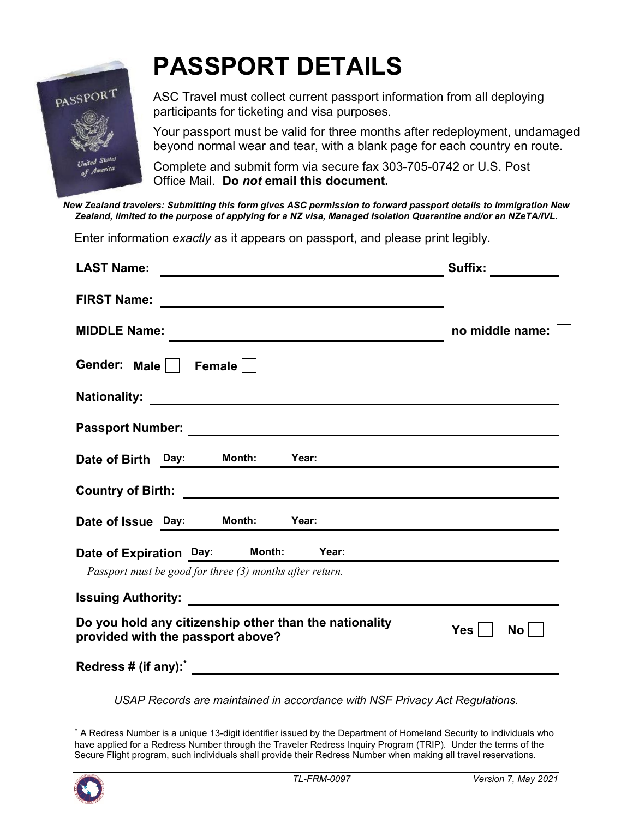

## **PASSPORT DETAILS**

ASC Travel must collect current passport information from all deploying participants for ticketing and visa purposes.

Your passport must be valid for three months after redeployment, undamaged beyond normal wear and tear, with a blank page for each country en route.

Complete and submit form via secure fax 303-705-0742 or U.S. Post Office Mail. **Do** *not* **email this document.**

*New Zealand travelers: Submitting this form gives ASC permission to forward passport details to Immigration New Zealand, limited to the purpose of applying for a NZ visa, Managed Isolation Quarantine and/or an NZeTA/IVL.* 

Enter information *exactly* as it appears on passport, and please print legibly.

| <b>LAST Name:</b>                                                                                                                            | Suffix:                 |
|----------------------------------------------------------------------------------------------------------------------------------------------|-------------------------|
| <b>FIRST Name:</b><br><u> 1989 - John Barnett, fransk politiker (d. 1989)</u>                                                                |                         |
| <b>MIDDLE Name:</b>                                                                                                                          | no middle name:         |
| Gender: Male     Female                                                                                                                      |                         |
| <b>Nationality:</b><br><u> 1989 - Johann Harry Harry Harry Harry Harry Harry Harry Harry Harry Harry Harry Harry Harry Harry Harry Harry</u> |                         |
|                                                                                                                                              |                         |
| Date of Birth Day: Month:<br>Year:                                                                                                           |                         |
|                                                                                                                                              |                         |
| Date of Issue Day: Month:<br>Year:                                                                                                           |                         |
| Date of Expiration Day: Month: Year:<br>Passport must be good for three (3) months after return.                                             |                         |
|                                                                                                                                              |                         |
| Do you hold any citizenship other than the nationality<br>provided with the passport above?                                                  | <b>Yes</b><br><b>No</b> |
|                                                                                                                                              |                         |

*USAP Records are maintained in accordance with NSF Privacy Act Regulations.*

<sup>\*</sup> A Redress Number is a unique 13-digit identifier issued by the Department of Homeland Security to individuals who have applied for a Redress Number through the Traveler Redress Inquiry Program (TRIP). Under the terms of the Secure Flight program, such individuals shall provide their Redress Number when making all travel reservations.